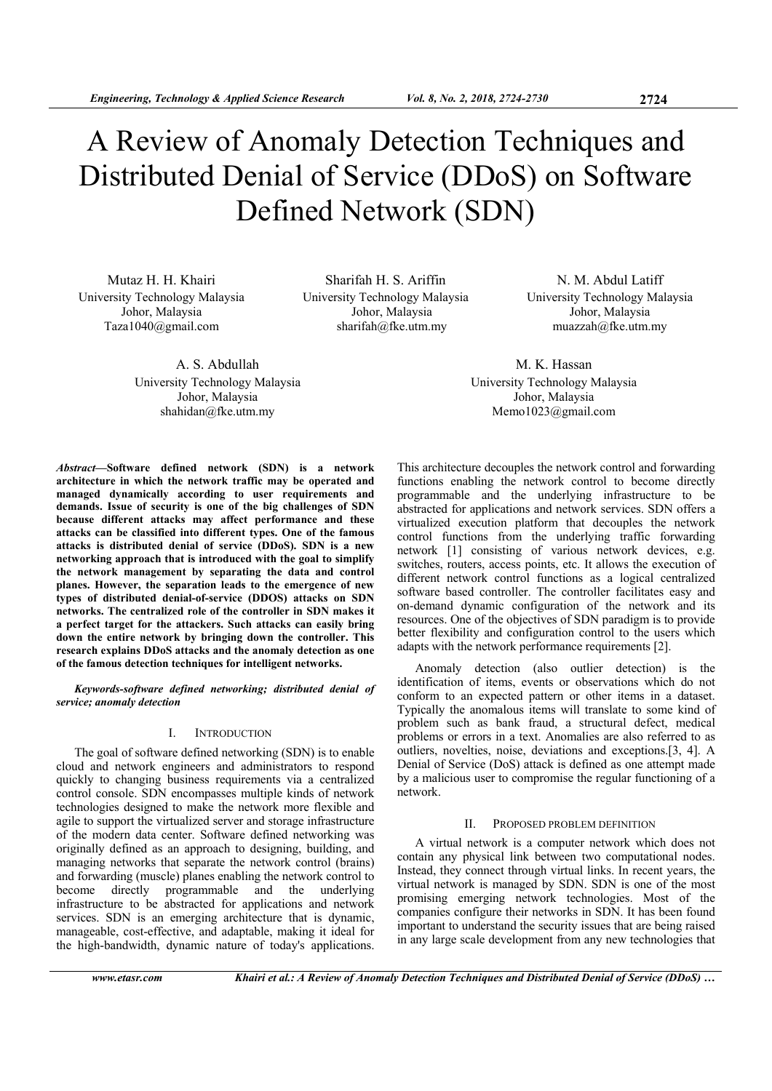# A Review of Anomaly Detection Techniques and Distributed Denial of Service (DDoS) on Software Defined Network (SDN)

Mutaz H. H. Khairi University Technology Malaysia Johor, Malaysia Taza1040@gmail.com

Sharifah H. S. Ariffin University Technology Malaysia Johor, Malaysia sharifah@fke.utm.my

A. S. Abdullah University Technology Malaysia Johor, Malaysia shahidan@fke.utm.my

N. M. Abdul Latiff University Technology Malaysia Johor, Malaysia muazzah@fke.utm.my

M. K. Hassan University Technology Malaysia Johor, Malaysia Memo1023@gmail.com

*Abstract—***Software defined network (SDN) is a network architecture in which the network traffic may be operated and managed dynamically according to user requirements and demands. Issue of security is one of the big challenges of SDN because different attacks may affect performance and these attacks can be classified into different types. One of the famous attacks is distributed denial of service (DDoS). SDN is a new networking approach that is introduced with the goal to simplify the network management by separating the data and control planes. However, the separation leads to the emergence of new types of distributed denial-of-service (DDOS) attacks on SDN networks. The centralized role of the controller in SDN makes it a perfect target for the attackers. Such attacks can easily bring down the entire network by bringing down the controller. This research explains DDoS attacks and the anomaly detection as one of the famous detection techniques for intelligent networks.** 

*Keywords-software defined networking; distributed denial of service; anomaly detection* 

## I. INTRODUCTION

The goal of software defined networking (SDN) is to enable cloud and network engineers and administrators to respond quickly to changing business requirements via a centralized control console. SDN encompasses multiple kinds of network technologies designed to make the network more flexible and agile to support the virtualized server and storage infrastructure of the modern data center. Software defined networking was originally defined as an approach to designing, building, and managing networks that separate the network control (brains) and forwarding (muscle) planes enabling the network control to become directly programmable and the underlying infrastructure to be abstracted for applications and network services. SDN is an emerging architecture that is dynamic, manageable, cost-effective, and adaptable, making it ideal for the high-bandwidth, dynamic nature of today's applications.

This architecture decouples the network control and forwarding functions enabling the network control to become directly programmable and the underlying infrastructure to be abstracted for applications and network services. SDN offers a virtualized execution platform that decouples the network control functions from the underlying traffic forwarding network [1] consisting of various network devices, e.g. switches, routers, access points, etc. It allows the execution of different network control functions as a logical centralized software based controller. The controller facilitates easy and on-demand dynamic configuration of the network and its resources. One of the objectives of SDN paradigm is to provide better flexibility and configuration control to the users which adapts with the network performance requirements [2].

Anomaly detection (also outlier detection) is the identification of items, events or observations which do not conform to an expected pattern or other items in a dataset. Typically the anomalous items will translate to some kind of problem such as bank fraud, a structural defect, medical problems or errors in a text. Anomalies are also referred to as outliers, novelties, noise, deviations and exceptions.[3, 4]. A Denial of Service (DoS) attack is defined as one attempt made by a malicious user to compromise the regular functioning of a network.

## II. PROPOSED PROBLEM DEFINITION

A virtual network is a computer network which does not contain any physical link between two computational nodes. Instead, they connect through virtual links. In recent years, the virtual network is managed by SDN. SDN is one of the most promising emerging network technologies. Most of the companies configure their networks in SDN. It has been found important to understand the security issues that are being raised in any large scale development from any new technologies that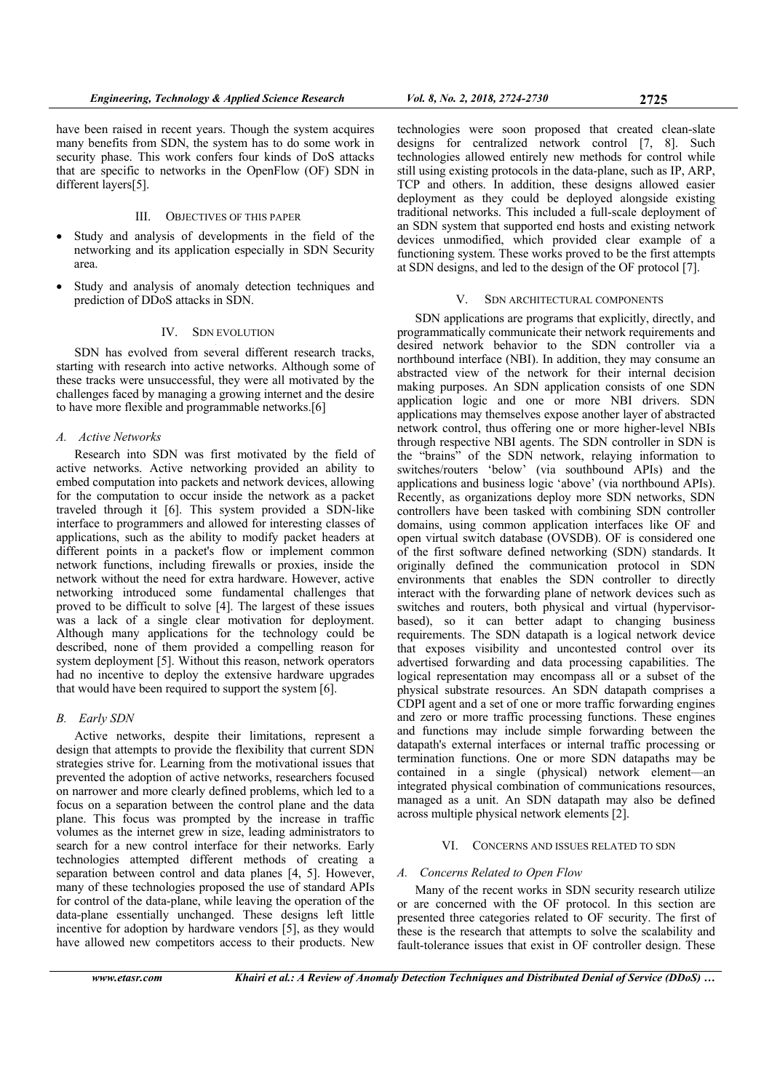have been raised in recent years. Though the system acquires many benefits from SDN, the system has to do some work in security phase. This work confers four kinds of DoS attacks that are specific to networks in the OpenFlow (OF) SDN in different layers[5].

#### III. OBJECTIVES OF THIS PAPER

- Study and analysis of developments in the field of the networking and its application especially in SDN Security area.
- Study and analysis of anomaly detection techniques and prediction of DDoS attacks in SDN.

# IV. SDN EVOLUTION

SDN has evolved from several different research tracks, starting with research into active networks. Although some of these tracks were unsuccessful, they were all motivated by the challenges faced by managing a growing internet and the desire to have more flexible and programmable networks.[6]

#### *A. Active Networks*

Research into SDN was first motivated by the field of active networks. Active networking provided an ability to embed computation into packets and network devices, allowing for the computation to occur inside the network as a packet traveled through it [6]. This system provided a SDN-like interface to programmers and allowed for interesting classes of applications, such as the ability to modify packet headers at different points in a packet's flow or implement common network functions, including firewalls or proxies, inside the network without the need for extra hardware. However, active networking introduced some fundamental challenges that proved to be difficult to solve [4]. The largest of these issues was a lack of a single clear motivation for deployment. Although many applications for the technology could be described, none of them provided a compelling reason for system deployment [5]. Without this reason, network operators had no incentive to deploy the extensive hardware upgrades that would have been required to support the system [6].

## *B. Early SDN*

Active networks, despite their limitations, represent a design that attempts to provide the flexibility that current SDN strategies strive for. Learning from the motivational issues that prevented the adoption of active networks, researchers focused on narrower and more clearly defined problems, which led to a focus on a separation between the control plane and the data plane. This focus was prompted by the increase in traffic volumes as the internet grew in size, leading administrators to search for a new control interface for their networks. Early technologies attempted different methods of creating a separation between control and data planes [4, 5]. However, many of these technologies proposed the use of standard APIs for control of the data-plane, while leaving the operation of the data-plane essentially unchanged. These designs left little incentive for adoption by hardware vendors [5], as they would have allowed new competitors access to their products. New

technologies were soon proposed that created clean-slate designs for centralized network control [7, 8]. Such technologies allowed entirely new methods for control while still using existing protocols in the data-plane, such as IP, ARP, TCP and others. In addition, these designs allowed easier deployment as they could be deployed alongside existing traditional networks. This included a full-scale deployment of an SDN system that supported end hosts and existing network devices unmodified, which provided clear example of a functioning system. These works proved to be the first attempts at SDN designs, and led to the design of the OF protocol [7].

#### V. SDN ARCHITECTURAL COMPONENTS

SDN applications are programs that explicitly, directly, and programmatically communicate their network requirements and desired network behavior to the SDN controller via a northbound interface (NBI). In addition, they may consume an abstracted view of the network for their internal decision making purposes. An SDN application consists of one SDN application logic and one or more NBI drivers. SDN applications may themselves expose another layer of abstracted network control, thus offering one or more higher-level NBIs through respective NBI agents. The SDN controller in SDN is the "brains" of the SDN network, relaying information to switches/routers 'below' (via southbound APIs) and the applications and business logic 'above' (via northbound APIs). Recently, as organizations deploy more SDN networks, SDN controllers have been tasked with combining SDN controller domains, using common application interfaces like OF and open virtual switch database (OVSDB). OF is considered one of the first software defined networking (SDN) standards. It originally defined the communication protocol in SDN environments that enables the SDN controller to directly interact with the forwarding plane of network devices such as switches and routers, both physical and virtual (hypervisorbased), so it can better adapt to changing business requirements. The SDN datapath is a logical network device that exposes visibility and uncontested control over its advertised forwarding and data processing capabilities. The logical representation may encompass all or a subset of the physical substrate resources. An SDN datapath comprises a CDPI agent and a set of one or more traffic forwarding engines and zero or more traffic processing functions. These engines and functions may include simple forwarding between the datapath's external interfaces or internal traffic processing or termination functions. One or more SDN datapaths may be contained in a single (physical) network element—an integrated physical combination of communications resources, managed as a unit. An SDN datapath may also be defined across multiple physical network elements [2].

# VI. CONCERNS AND ISSUES RELATED TO SDN

# *A. Concerns Related to Open Flow*

Many of the recent works in SDN security research utilize or are concerned with the OF protocol. In this section are presented three categories related to OF security. The first of these is the research that attempts to solve the scalability and fault-tolerance issues that exist in OF controller design. These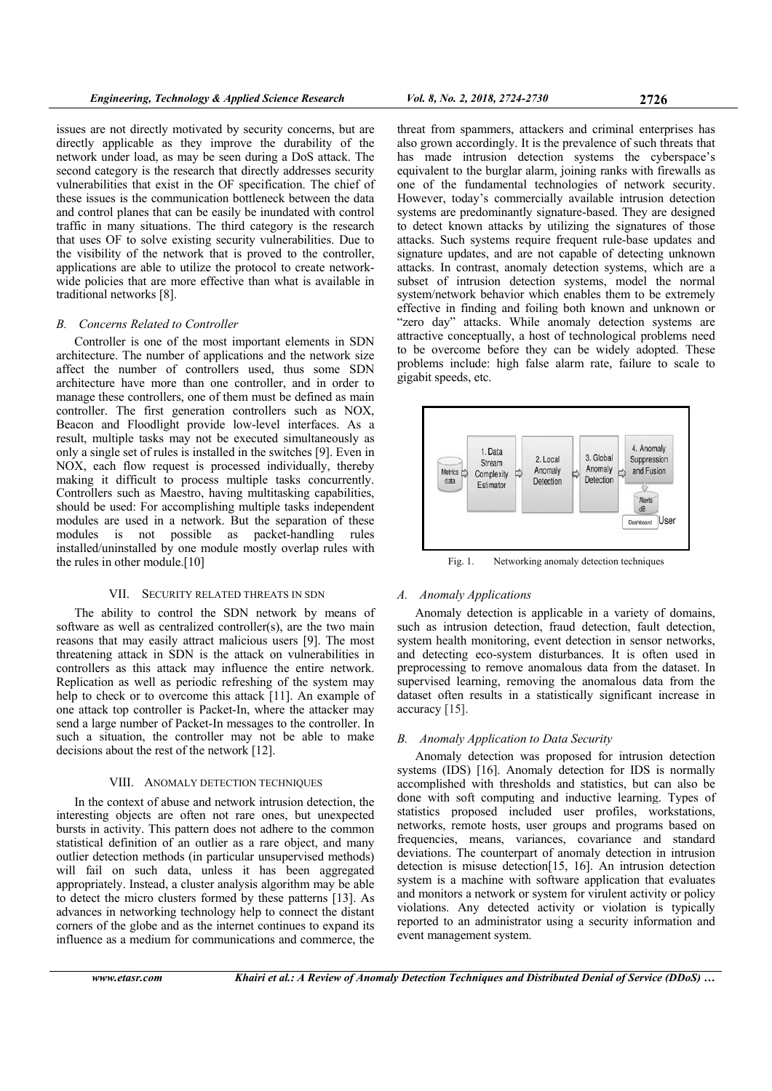issues are not directly motivated by security concerns, but are directly applicable as they improve the durability of the network under load, as may be seen during a DoS attack. The second category is the research that directly addresses security vulnerabilities that exist in the OF specification. The chief of these issues is the communication bottleneck between the data and control planes that can be easily be inundated with control traffic in many situations. The third category is the research that uses OF to solve existing security vulnerabilities. Due to the visibility of the network that is proved to the controller, applications are able to utilize the protocol to create networkwide policies that are more effective than what is available in traditional networks [8].

# *B. Concerns Related to Controller*

Controller is one of the most important elements in SDN architecture. The number of applications and the network size affect the number of controllers used, thus some SDN architecture have more than one controller, and in order to manage these controllers, one of them must be defined as main controller. The first generation controllers such as NOX, Beacon and Floodlight provide low-level interfaces. As a result, multiple tasks may not be executed simultaneously as only a single set of rules is installed in the switches [9]. Even in NOX, each flow request is processed individually, thereby making it difficult to process multiple tasks concurrently. Controllers such as Maestro, having multitasking capabilities, should be used: For accomplishing multiple tasks independent modules are used in a network. But the separation of these modules is not possible as packet-handling rules installed/uninstalled by one module mostly overlap rules with the rules in other module.[10]

# VII. SECURITY RELATED THREATS IN SDN

The ability to control the SDN network by means of software as well as centralized controller(s), are the two main reasons that may easily attract malicious users [9]. The most threatening attack in SDN is the attack on vulnerabilities in controllers as this attack may influence the entire network. Replication as well as periodic refreshing of the system may help to check or to overcome this attack [11]. An example of one attack top controller is Packet-In, where the attacker may send a large number of Packet-In messages to the controller. In such a situation, the controller may not be able to make decisions about the rest of the network [12].

# VIII. ANOMALY DETECTION TECHNIQUES

In the context of abuse and network intrusion detection, the interesting objects are often not rare ones, but unexpected bursts in activity. This pattern does not adhere to the common statistical definition of an outlier as a rare object, and many outlier detection methods (in particular unsupervised methods) will fail on such data, unless it has been aggregated appropriately. Instead, a cluster analysis algorithm may be able to detect the micro clusters formed by these patterns [13]. As advances in networking technology help to connect the distant corners of the globe and as the internet continues to expand its influence as a medium for communications and commerce, the

threat from spammers, attackers and criminal enterprises has also grown accordingly. It is the prevalence of such threats that has made intrusion detection systems the cyberspace's equivalent to the burglar alarm, joining ranks with firewalls as one of the fundamental technologies of network security. However, today's commercially available intrusion detection systems are predominantly signature-based. They are designed to detect known attacks by utilizing the signatures of those attacks. Such systems require frequent rule-base updates and signature updates, and are not capable of detecting unknown attacks. In contrast, anomaly detection systems, which are a subset of intrusion detection systems, model the normal system/network behavior which enables them to be extremely effective in finding and foiling both known and unknown or "zero day" attacks. While anomaly detection systems are attractive conceptually, a host of technological problems need to be overcome before they can be widely adopted. These problems include: high false alarm rate, failure to scale to gigabit speeds, etc.



Fig. 1. Networking anomaly detection techniques

#### *A. Anomaly Applications*

Anomaly detection is applicable in a variety of domains, such as intrusion detection, fraud detection, fault detection, system health monitoring, event detection in sensor networks, and detecting eco-system disturbances. It is often used in preprocessing to remove anomalous data from the dataset. In supervised learning, removing the anomalous data from the dataset often results in a statistically significant increase in accuracy [15].

#### *B. Anomaly Application to Data Security*

Anomaly detection was proposed for intrusion detection systems (IDS) [16]. Anomaly detection for IDS is normally accomplished with thresholds and statistics, but can also be done with soft computing and inductive learning. Types of statistics proposed included user profiles, workstations, networks, remote hosts, user groups and programs based on frequencies, means, variances, covariance and standard deviations. The counterpart of anomaly detection in intrusion detection is misuse detection[15, 16]. An intrusion detection system is a machine with software application that evaluates and monitors a network or system for virulent activity or policy violations. Any detected activity or violation is typically reported to an administrator using a security information and event management system.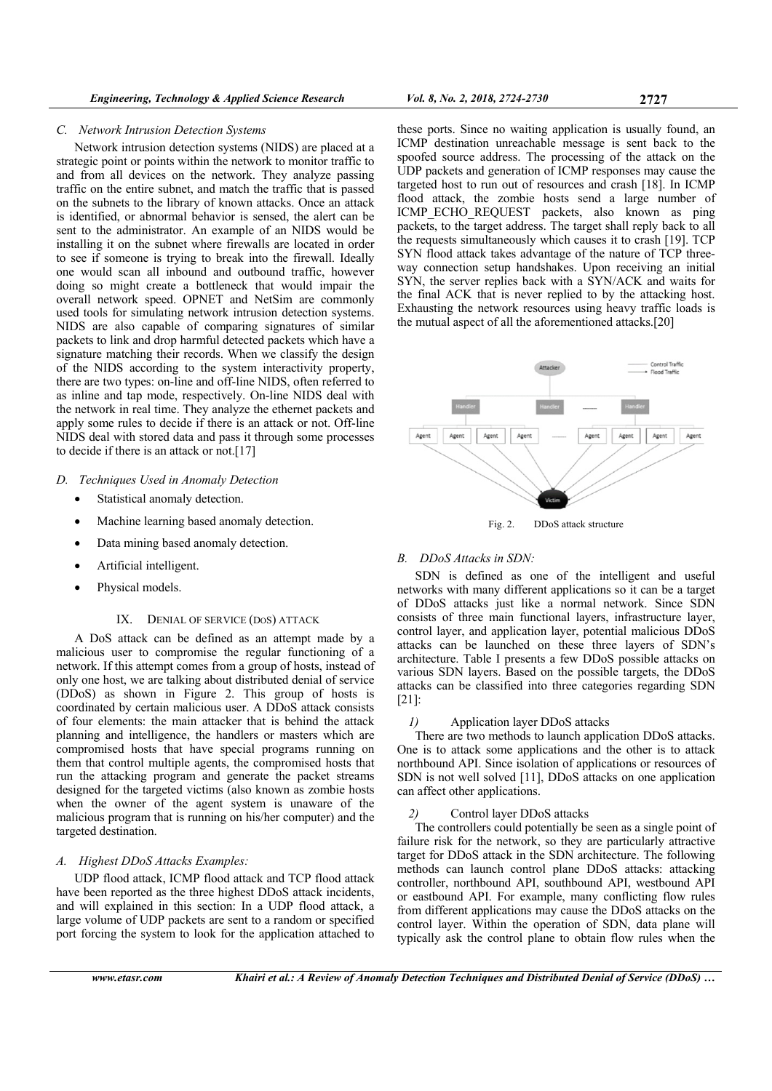# *C. Network Intrusion Detection Systems*

Network intrusion detection systems (NIDS) are placed at a strategic point or points within the network to monitor traffic to and from all devices on the network. They analyze passing traffic on the entire subnet, and match the traffic that is passed on the subnets to the library of known attacks. Once an attack is identified, or abnormal behavior is sensed, the alert can be sent to the administrator. An example of an NIDS would be installing it on the subnet where firewalls are located in order to see if someone is trying to break into the firewall. Ideally one would scan all inbound and outbound traffic, however doing so might create a bottleneck that would impair the overall network speed. OPNET and NetSim are commonly used tools for simulating network intrusion detection systems. NIDS are also capable of comparing signatures of similar packets to link and drop harmful detected packets which have a signature matching their records. When we classify the design of the NIDS according to the system interactivity property, there are two types: on-line and off-line NIDS, often referred to as inline and tap mode, respectively. On-line NIDS deal with the network in real time. They analyze the ethernet packets and apply some rules to decide if there is an attack or not. Off-line NIDS deal with stored data and pass it through some processes to decide if there is an attack or not.[17]

# *D. Techniques Used in Anomaly Detection*

- Statistical anomaly detection.
- Machine learning based anomaly detection.
- Data mining based anomaly detection.
- Artificial intelligent.
- Physical models.

# IX. DENIAL OF SERVICE (DOS) ATTACK

A DoS attack can be defined as an attempt made by a malicious user to compromise the regular functioning of a network. If this attempt comes from a group of hosts, instead of only one host, we are talking about distributed denial of service (DDoS) as shown in Figure 2. This group of hosts is coordinated by certain malicious user. A DDoS attack consists of four elements: the main attacker that is behind the attack planning and intelligence, the handlers or masters which are compromised hosts that have special programs running on them that control multiple agents, the compromised hosts that run the attacking program and generate the packet streams designed for the targeted victims (also known as zombie hosts when the owner of the agent system is unaware of the malicious program that is running on his/her computer) and the targeted destination.

# *A. Highest DDoS Attacks Examples:*

UDP flood attack, ICMP flood attack and TCP flood attack have been reported as the three highest DDoS attack incidents, and will explained in this section: In a UDP flood attack, a large volume of UDP packets are sent to a random or specified port forcing the system to look for the application attached to

these ports. Since no waiting application is usually found, an ICMP destination unreachable message is sent back to the spoofed source address. The processing of the attack on the UDP packets and generation of ICMP responses may cause the targeted host to run out of resources and crash [18]. In ICMP flood attack, the zombie hosts send a large number of ICMP\_ECHO\_REQUEST packets, also known as ping packets, to the target address. The target shall reply back to all the requests simultaneously which causes it to crash [19]. TCP SYN flood attack takes advantage of the nature of TCP threeway connection setup handshakes. Upon receiving an initial SYN, the server replies back with a SYN/ACK and waits for the final ACK that is never replied to by the attacking host. Exhausting the network resources using heavy traffic loads is the mutual aspect of all the aforementioned attacks.[20]





# *B. DDoS Attacks in SDN:*

SDN is defined as one of the intelligent and useful networks with many different applications so it can be a target of DDoS attacks just like a normal network. Since SDN consists of three main functional layers, infrastructure layer, control layer, and application layer, potential malicious DDoS attacks can be launched on these three layers of SDN's architecture. Table I presents a few DDoS possible attacks on various SDN layers. Based on the possible targets, the DDoS attacks can be classified into three categories regarding SDN [21]:

## *1)* Application layer DDoS attacks

There are two methods to launch application DDoS attacks. One is to attack some applications and the other is to attack northbound API. Since isolation of applications or resources of SDN is not well solved [11], DDoS attacks on one application can affect other applications.

# *2)* Control layer DDoS attacks

The controllers could potentially be seen as a single point of failure risk for the network, so they are particularly attractive target for DDoS attack in the SDN architecture. The following methods can launch control plane DDoS attacks: attacking controller, northbound API, southbound API, westbound API or eastbound API. For example, many conflicting flow rules from different applications may cause the DDoS attacks on the control layer. Within the operation of SDN, data plane will typically ask the control plane to obtain flow rules when the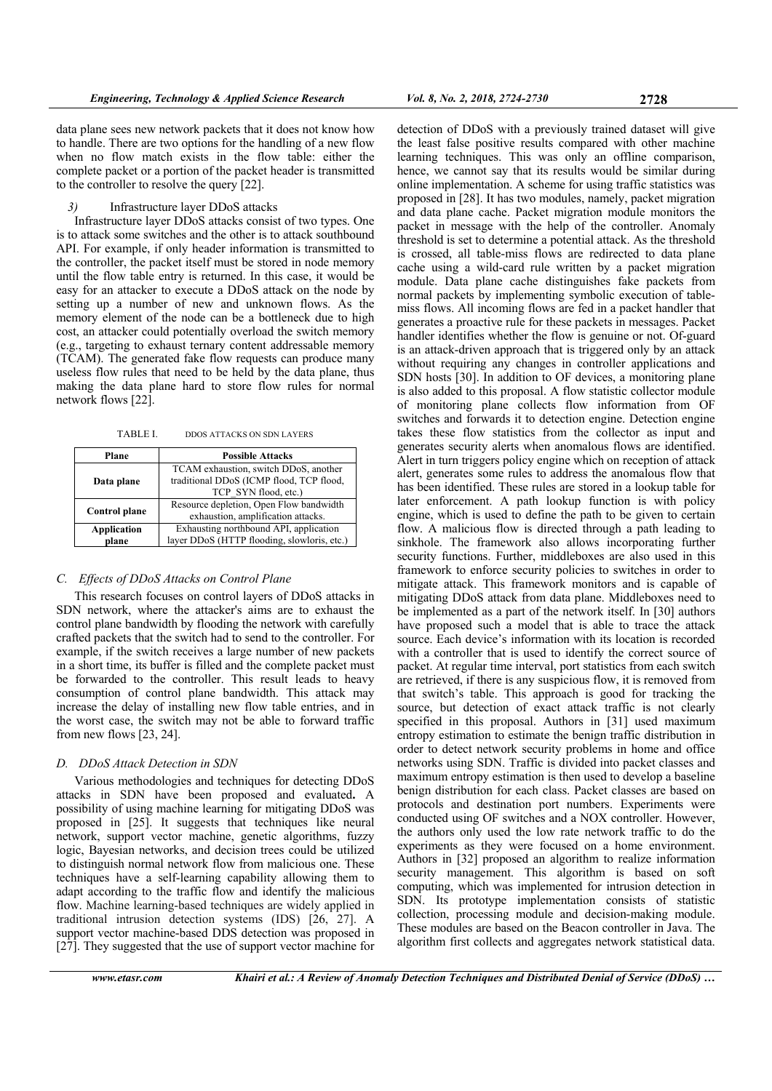data plane sees new network packets that it does not know how to handle. There are two options for the handling of a new flow when no flow match exists in the flow table: either the complete packet or a portion of the packet header is transmitted to the controller to resolve the query [22].

*3)* Infrastructure layer DDoS attacks

Infrastructure layer DDoS attacks consist of two types. One is to attack some switches and the other is to attack southbound API. For example, if only header information is transmitted to the controller, the packet itself must be stored in node memory until the flow table entry is returned. In this case, it would be easy for an attacker to execute a DDoS attack on the node by setting up a number of new and unknown flows. As the memory element of the node can be a bottleneck due to high cost, an attacker could potentially overload the switch memory (e.g., targeting to exhaust ternary content addressable memory (TCAM). The generated fake flow requests can produce many useless flow rules that need to be held by the data plane, thus making the data plane hard to store flow rules for normal network flows [22].

TABLE I. DDOS ATTACKS ON SDN LAYERS

| Plane                | <b>Possible Attacks</b>                                                                                   |
|----------------------|-----------------------------------------------------------------------------------------------------------|
| Data plane           | TCAM exhaustion, switch DDoS, another<br>traditional DDoS (ICMP flood, TCP flood,<br>TCP SYN flood, etc.) |
| Control plane        | Resource depletion, Open Flow bandwidth<br>exhaustion, amplification attacks.                             |
| Application<br>plane | Exhausting northbound API, application<br>layer DDoS (HTTP flooding, slowloris, etc.)                     |

# *C. Effects of DDoS Attacks on Control Plane*

This research focuses on control layers of DDoS attacks in SDN network, where the attacker's aims are to exhaust the control plane bandwidth by flooding the network with carefully crafted packets that the switch had to send to the controller. For example, if the switch receives a large number of new packets in a short time, its buffer is filled and the complete packet must be forwarded to the controller. This result leads to heavy consumption of control plane bandwidth. This attack may increase the delay of installing new flow table entries, and in the worst case, the switch may not be able to forward traffic from new flows [23, 24].

# *D. DDoS Attack Detection in SDN*

Various methodologies and techniques for detecting DDoS attacks in SDN have been proposed and evaluated**.** A possibility of using machine learning for mitigating DDoS was proposed in [25]. It suggests that techniques like neural network, support vector machine, genetic algorithms, fuzzy logic, Bayesian networks, and decision trees could be utilized to distinguish normal network flow from malicious one. These techniques have a self-learning capability allowing them to adapt according to the traffic flow and identify the malicious flow. Machine learning-based techniques are widely applied in traditional intrusion detection systems (IDS) [26, 27]. A support vector machine-based DDS detection was proposed in [27]. They suggested that the use of support vector machine for

detection of DDoS with a previously trained dataset will give the least false positive results compared with other machine learning techniques. This was only an offline comparison, hence, we cannot say that its results would be similar during online implementation. A scheme for using traffic statistics was proposed in [28]. It has two modules, namely, packet migration and data plane cache. Packet migration module monitors the packet in message with the help of the controller. Anomaly threshold is set to determine a potential attack. As the threshold is crossed, all table-miss flows are redirected to data plane cache using a wild-card rule written by a packet migration module. Data plane cache distinguishes fake packets from normal packets by implementing symbolic execution of tablemiss flows. All incoming flows are fed in a packet handler that generates a proactive rule for these packets in messages. Packet handler identifies whether the flow is genuine or not. Of-guard is an attack-driven approach that is triggered only by an attack without requiring any changes in controller applications and SDN hosts [30]. In addition to OF devices, a monitoring plane is also added to this proposal. A flow statistic collector module of monitoring plane collects flow information from OF switches and forwards it to detection engine. Detection engine takes these flow statistics from the collector as input and generates security alerts when anomalous flows are identified. Alert in turn triggers policy engine which on reception of attack alert, generates some rules to address the anomalous flow that has been identified. These rules are stored in a lookup table for later enforcement. A path lookup function is with policy engine, which is used to define the path to be given to certain flow. A malicious flow is directed through a path leading to sinkhole. The framework also allows incorporating further security functions. Further, middleboxes are also used in this framework to enforce security policies to switches in order to mitigate attack. This framework monitors and is capable of mitigating DDoS attack from data plane. Middleboxes need to be implemented as a part of the network itself. In [30] authors have proposed such a model that is able to trace the attack source. Each device's information with its location is recorded with a controller that is used to identify the correct source of packet. At regular time interval, port statistics from each switch are retrieved, if there is any suspicious flow, it is removed from that switch's table. This approach is good for tracking the source, but detection of exact attack traffic is not clearly specified in this proposal. Authors in [31] used maximum entropy estimation to estimate the benign traffic distribution in order to detect network security problems in home and office networks using SDN. Traffic is divided into packet classes and maximum entropy estimation is then used to develop a baseline benign distribution for each class. Packet classes are based on protocols and destination port numbers. Experiments were conducted using OF switches and a NOX controller. However, the authors only used the low rate network traffic to do the experiments as they were focused on a home environment. Authors in [32] proposed an algorithm to realize information security management. This algorithm is based on soft computing, which was implemented for intrusion detection in SDN. Its prototype implementation consists of statistic collection, processing module and decision-making module. These modules are based on the Beacon controller in Java. The algorithm first collects and aggregates network statistical data.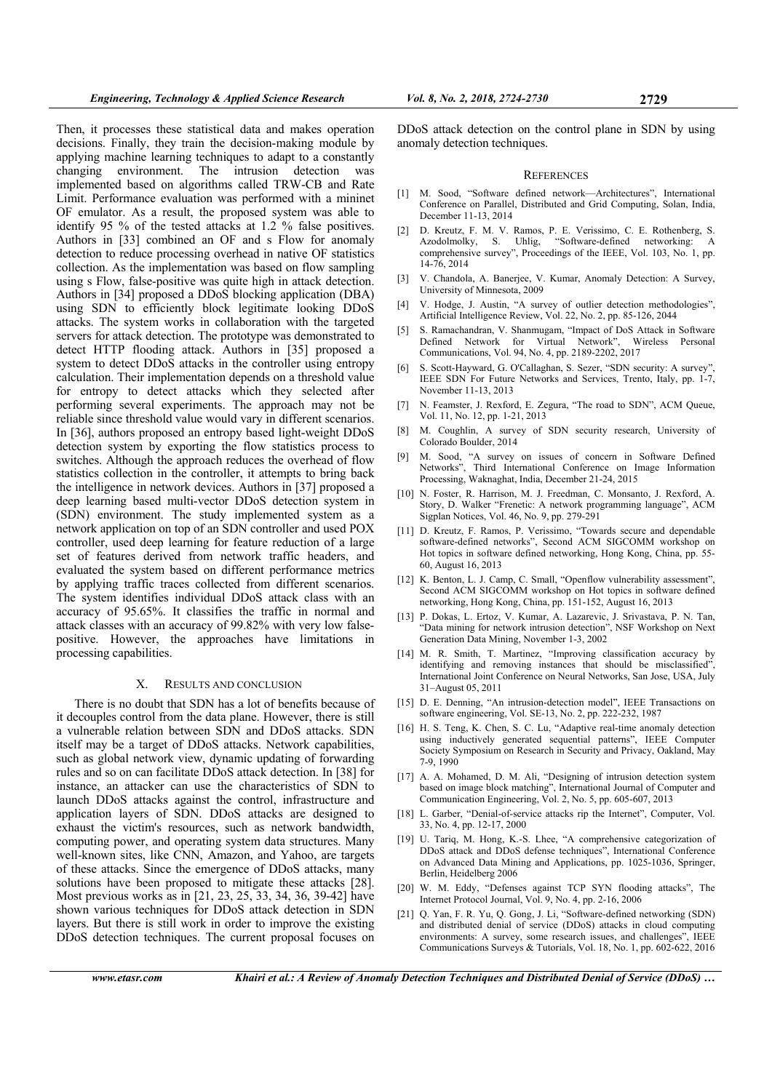Then, it processes these statistical data and makes operation decisions. Finally, they train the decision-making module by applying machine learning techniques to adapt to a constantly changing environment. The intrusion detection was implemented based on algorithms called TRW-CB and Rate Limit. Performance evaluation was performed with a mininet OF emulator. As a result, the proposed system was able to identify 95 % of the tested attacks at 1.2 % false positives. Authors in [33] combined an OF and s Flow for anomaly detection to reduce processing overhead in native OF statistics collection. As the implementation was based on flow sampling using s Flow, false-positive was quite high in attack detection. Authors in [34] proposed a DDoS blocking application (DBA) using SDN to efficiently block legitimate looking DDoS attacks. The system works in collaboration with the targeted servers for attack detection. The prototype was demonstrated to detect HTTP flooding attack. Authors in [35] proposed a system to detect DDoS attacks in the controller using entropy calculation. Their implementation depends on a threshold value for entropy to detect attacks which they selected after performing several experiments. The approach may not be reliable since threshold value would vary in different scenarios. In [36], authors proposed an entropy based light-weight DDoS detection system by exporting the flow statistics process to switches. Although the approach reduces the overhead of flow statistics collection in the controller, it attempts to bring back the intelligence in network devices. Authors in [37] proposed a deep learning based multi-vector DDoS detection system in (SDN) environment. The study implemented system as a network application on top of an SDN controller and used POX controller, used deep learning for feature reduction of a large set of features derived from network traffic headers, and evaluated the system based on different performance metrics by applying traffic traces collected from different scenarios. The system identifies individual DDoS attack class with an accuracy of 95.65%. It classifies the traffic in normal and attack classes with an accuracy of 99.82% with very low falsepositive. However, the approaches have limitations in processing capabilities.

# X. RESULTS AND CONCLUSION

There is no doubt that SDN has a lot of benefits because of it decouples control from the data plane. However, there is still a vulnerable relation between SDN and DDoS attacks. SDN itself may be a target of DDoS attacks. Network capabilities, such as global network view, dynamic updating of forwarding rules and so on can facilitate DDoS attack detection. In [38] for instance, an attacker can use the characteristics of SDN to launch DDoS attacks against the control, infrastructure and application layers of SDN. DDoS attacks are designed to exhaust the victim's resources, such as network bandwidth, computing power, and operating system data structures. Many well-known sites, like CNN, Amazon, and Yahoo, are targets of these attacks. Since the emergence of DDoS attacks, many solutions have been proposed to mitigate these attacks [28]. Most previous works as in [21, 23, 25, 33, 34, 36, 39-42] have shown various techniques for DDoS attack detection in SDN layers. But there is still work in order to improve the existing DDoS detection techniques. The current proposal focuses on

DDoS attack detection on the control plane in SDN by using anomaly detection techniques.

#### **REFERENCES**

- [1] M. Sood, "Software defined network—Architectures", International Conference on Parallel, Distributed and Grid Computing, Solan, India, December 11-13, 2014
- [2] D. Kreutz, F. M. V. Ramos, P. E. Verissimo, C. E. Rothenberg, S. "Software-defined networking: A comprehensive survey", Proceedings of the IEEE, Vol. 103, No. 1, pp. 14-76, 2014
- [3] V. Chandola, A. Banerjee, V. Kumar, Anomaly Detection: A Survey, University of Minnesota, 2009
- [4] V. Hodge, J. Austin, "A survey of outlier detection methodologies", Artificial Intelligence Review, Vol. 22, No. 2, pp. 85-126, 2044
- [5] S. Ramachandran, V. Shanmugam, "Impact of DoS Attack in Software Defined Network for Virtual Network", Wireless Personal Communications, Vol. 94, No. 4, pp. 2189-2202, 2017
- [6] S. Scott-Hayward, G. O'Callaghan, S. Sezer, "SDN security: A survey", IEEE SDN For Future Networks and Services, Trento, Italy, pp. 1-7, November 11-13, 2013
- [7] N. Feamster, J. Rexford, E. Zegura, "The road to SDN", ACM Queue, Vol. 11, No. 12, pp. 1-21, 2013
- [8] M. Coughlin, A survey of SDN security research, University of Colorado Boulder, 2014
- [9] M. Sood, "A survey on issues of concern in Software Defined Networks", Third International Conference on Image Information Processing, Waknaghat, India, December 21-24, 2015
- [10] N. Foster, R. Harrison, M. J. Freedman, C. Monsanto, J. Rexford, A. Story, D. Walker "Frenetic: A network programming language", ACM Sigplan Notices, Vol. 46, No. 9, pp. 279-291
- [11] D. Kreutz, F. Ramos, P. Verissimo, "Towards secure and dependable software-defined networks", Second ACM SIGCOMM workshop on Hot topics in software defined networking, Hong Kong, China, pp. 55- 60, August 16, 2013
- [12] K. Benton, L. J. Camp, C. Small, "Openflow vulnerability assessment". Second ACM SIGCOMM workshop on Hot topics in software defined networking, Hong Kong, China, pp. 151-152, August 16, 2013
- [13] P. Dokas, L. Ertoz, V. Kumar, A. Lazarevic, J. Srivastava, P. N. Tan, "Data mining for network intrusion detection", NSF Workshop on Next Generation Data Mining, November 1-3, 2002
- [14] M. R. Smith, T. Martinez, "Improving classification accuracy by identifying and removing instances that should be misclassified", International Joint Conference on Neural Networks, San Jose, USA, July 31–August 05, 2011
- [15] D. E. Denning, "An intrusion-detection model", IEEE Transactions on software engineering, Vol. SE-13, No. 2, pp. 222-232, 1987
- [16] H. S. Teng, K. Chen, S. C. Lu, "Adaptive real-time anomaly detection using inductively generated sequential patterns", IEEE Computer Society Symposium on Research in Security and Privacy, Oakland, May 7-9, 1990
- [17] A. A. Mohamed, D. M. Ali, "Designing of intrusion detection system based on image block matching", International Journal of Computer and Communication Engineering, Vol. 2, No. 5, pp. 605-607, 2013
- [18] L. Garber, "Denial-of-service attacks rip the Internet", Computer, Vol. 33, No. 4, pp. 12-17, 2000
- [19] U. Tariq, M. Hong, K.-S. Lhee, "A comprehensive categorization of DDoS attack and DDoS defense techniques", International Conference on Advanced Data Mining and Applications, pp. 1025-1036, Springer, Berlin, Heidelberg 2006
- [20] W. M. Eddy, "Defenses against TCP SYN flooding attacks", The Internet Protocol Journal, Vol. 9, No. 4, pp. 2-16, 2006
- [21] Q. Yan, F. R. Yu, Q. Gong, J. Li, "Software-defined networking (SDN) and distributed denial of service (DDoS) attacks in cloud computing environments: A survey, some research issues, and challenges", IEEE Communications Surveys & Tutorials, Vol. 18, No. 1, pp. 602-622, 2016